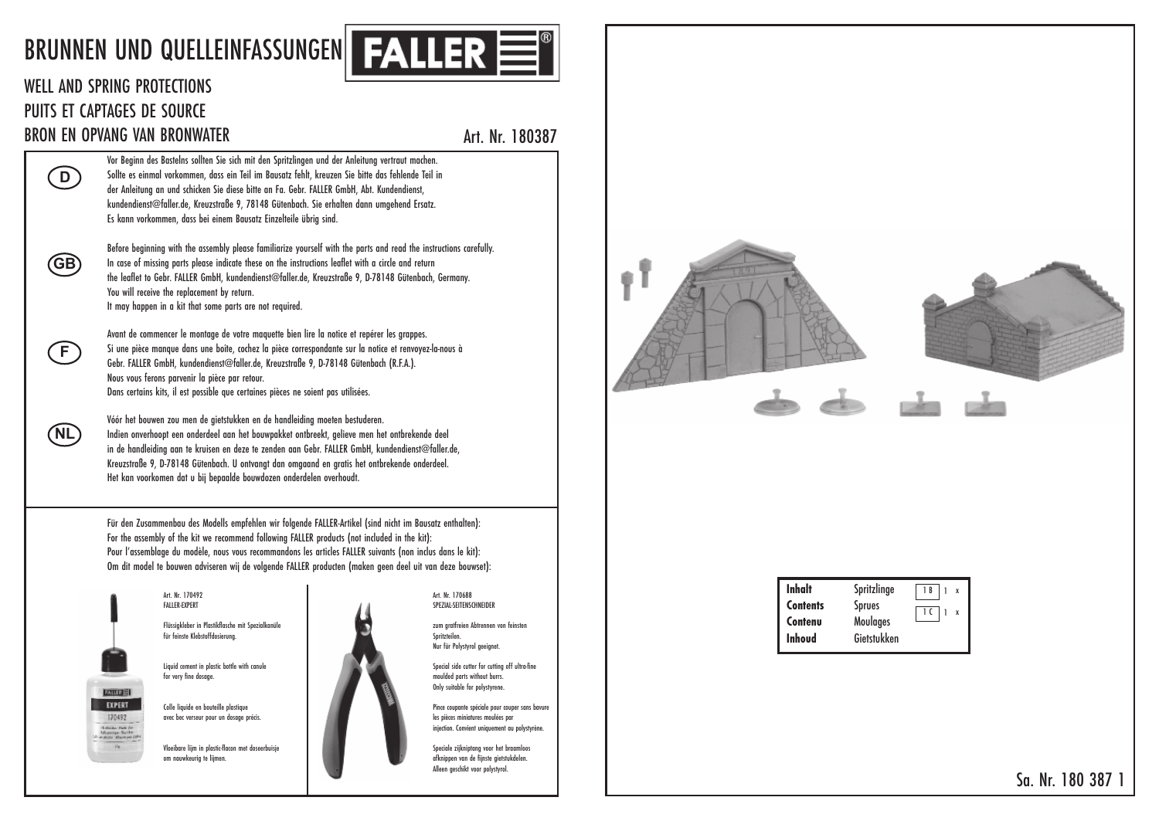## BRUNNEN UND QUELLEINFASSUNGEN I



## WELL AND SPRING PROTECTIONS I I PUITS ET CAPTAGES DE SOURCE I BRON EN OPVANG VAN BRONWATER

**D**<br> **GB**<br> **F**<br> **GE** 

Œ

(NL)

(GB)

 $\bigcirc$ 

Art. Nr. 180387 t . .

Vor Beginn des Bastelns sollten Sie sich mit den Spritzlingen und der Anleitung vertraut machen i t l l l t i i i t i t l i l i t t t . Sollte es einmal vorkommen, dass ein Teil im Bausatz fehlt, kreuzen Sie bitte das fehlende Teil in l l t i l , i i l i t l t , i i t t l i l i der Anleitung an und schicken Sie diese bitte an Fa. Gebr. FALLER GmbH, Abt. Kundendiens l i t i i i i t t . . , t . i t , kundendienst@faller.de, Kreuzstraße 9, 78148 Gütenbach. Sie erhalten dann umgehend Ersatz i t l l . , t , t . i l t t . Es kann vorkommen, dass bei einem Bausatz Einzelteile übrig sind , i i t i l t i l i i .

Before beginning with the assembly please familiarize yourself with the parts and read the instructions carefully i i i t t l l i l i i l i t t t t i t t i l l . I n case of missing parts please indicate these on the instructions leaflet with a circle and return i i t l i i t t t i t t i l t i t i l t t he leaflet to Gebr. FALLER GmbH, kundendienst@faller.de, Kreuzstraße 9, D-78148 Gütenbach, Germany l t t . , i t l l . , t , t , . You will receive the replacement by return i l l i t l t t . I t may happen in a kit that some parts are not required i i t t t t t i .

Avant de commencer le montage de votre maquette bien lire la notice et repérer les grappes t l t t t t i l i l t i t l . Si une pièce manque dans une boîte, cochez la pièce correspondante sur la notice et renvoyez-la-nous à i i î t , l i t l t i t l - Gebr. FALLER GmbH, kundendienst@faller.de, Kreuzstraße 9, D-78148 Gütenbach (R.F.A.) . , i t l l . , t , t . . . . Nous vous ferons parvenir la pièce par retour i l i t . Dans certains kits, il est possible que certaines pièces ne soient pas utilisées t i i t , i l t i l t i i i t t i l i .

Vóór het bouwen zou men de gietstukken en de handleiding moeten bestuderen t i t t l i i t t . I ndien onverhoopt een onderdeel aan het bouwpakket ontbreekt, gelieve men het ontbrekende dee i t l t t t t , l i t t l i n de handleiding aan te kruisen en deze te zenden aan Gebr. FALLER GmbH, kundendienst@faller.de l i i t i t . , i t l l . , Kreuzstraße 9, D-78148 Gütenbach. U ontvangt dan omgaand en gratis het ontbrekende onderdee t , t . t t t i t t l . Het kan voorkomen dat u bij bepaalde bouwdozen onderdelen overhoud t t i j l l t .

Für den Zusammenbau des Modells empfehlen wir folgende FALLER-Artikel (sind nicht im Bausatz enthalten) l l l i l t i l i i t i t t l t : For the assembly of the kit we recommend following FALLER products (not included in the kit) t l t i t l l i t t i l i t i t : Pour l'assemblage du modèle, nous vous recommandons les articles FALLER suivants (non inclus dans le kit) l l l , l t i l i t i l l i t : Om dit model te bouwen adviseren wij de volgende FALLER producten (maken geen deel uit van deze bouwset) i t l t i i j l t l i t t :



## Art. Nr. 170492 t FALLER-EXPERT -

Flüssigkleber in Plastikflasche mit Spezialkanüle l i l i l t i i t i l l für feinste Klebstoffdosierung i t l t i .

Liquid cement in plastic bottle with canule i i t i l t i t t l i l for very fine dosage .

Colle liquide en bouteille plastique l l i i t i l t i avec bec verseur pour un dosage précis i .

Vloeibare lijm in plastic-flacon met doseerbuisje l i l i j i l t i t i j om nauwkeurig te lijmen i t l i j .



SPEZIAL-SEITENSCHNEIDER I I zum gratfreien Abtrennen von feinsten i t i l

t

Art. Nr. 170688 t

.

t

I

i t . Special side cutter for cutting off ultra-fine i l i t t t t i l t moulded parts without burrs l t i t t . Only suitable for polystyrene l i t l l t .

Pince coupante spéciale pour couper sans bavure i t i l l les pièces miniatures moulées par i i i t l i injection. Convient uniquement au polystyrène j t . i t i t l t .

Speciale zijkniptang voor het braamloos i l i j i t t l afknippen van de fijnste gietstukdelen i j t i t t l . Alleen geschikt voor polystyro l l i t l t l .



| Inhalt          | Spritzlinge   | 1B             |
|-----------------|---------------|----------------|
| <b>Contents</b> | <b>Sprues</b> | 1 <sup>C</sup> |
| Contenu         | Moulages      |                |
| <b>Inhoud</b>   | Gietstukken   |                |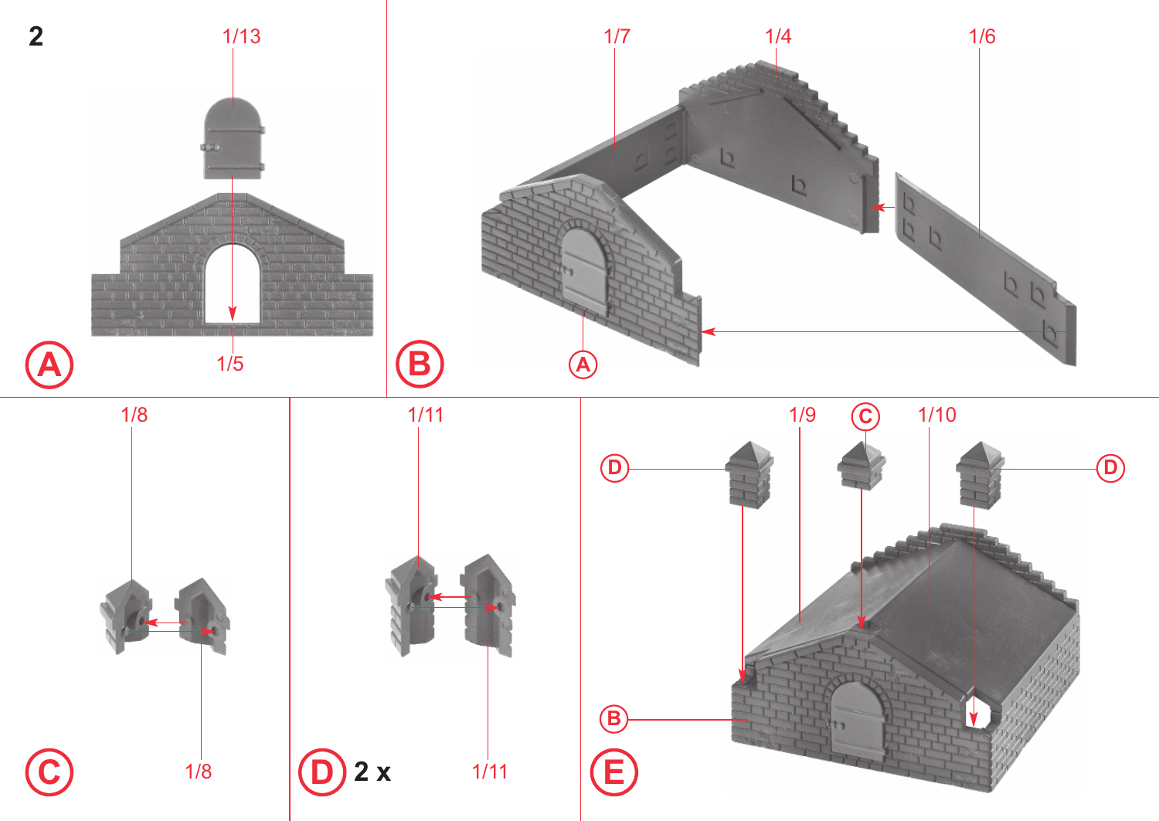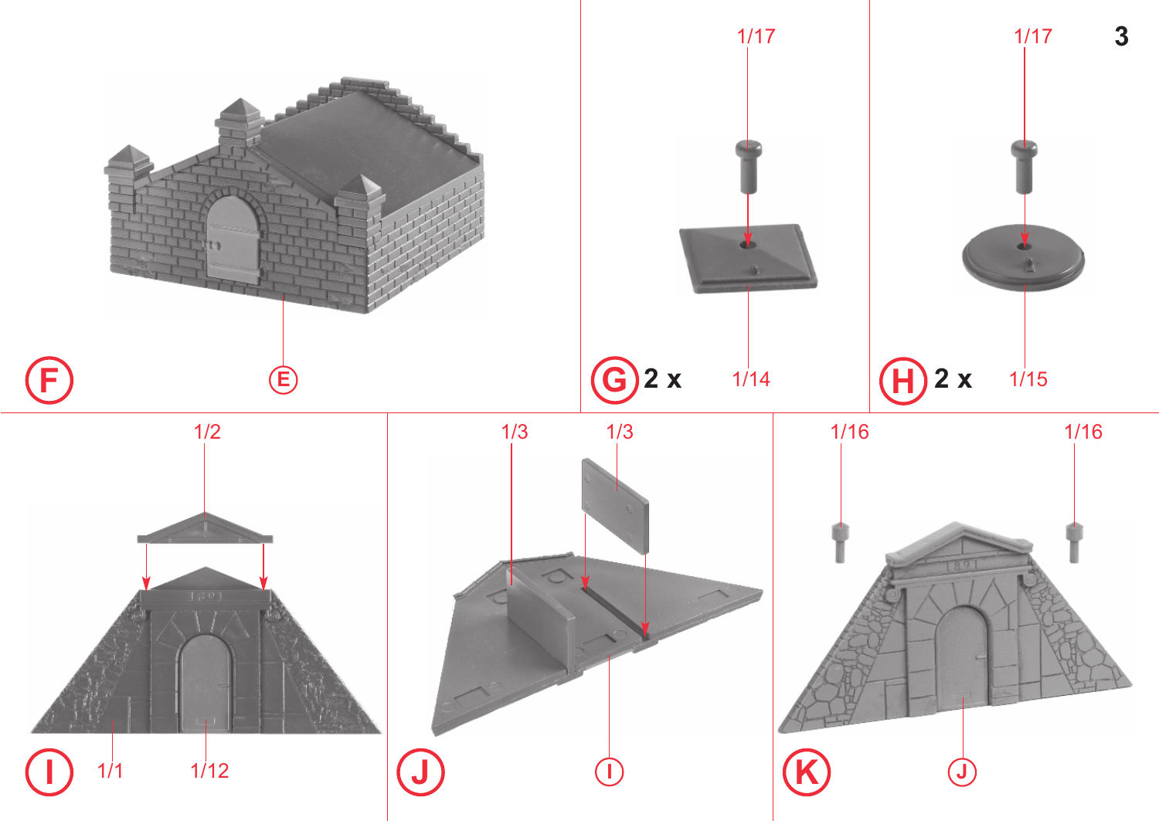